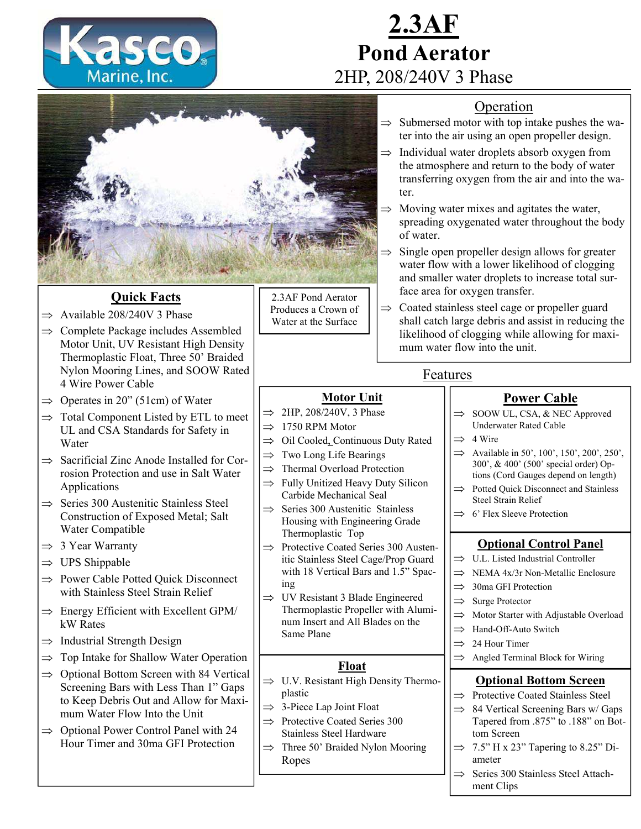

# **2.3AF Pond Aerator**  2HP, 208/240V 3 Phase

#### Operation

- $\Rightarrow$  Submersed motor with top intake pushes the water into the air using an open propeller design.
- $\Rightarrow$  Individual water droplets absorb oxygen from the atmosphere and return to the body of water transferring oxygen from the air and into the water.
	- Moving water mixes and agitates the water, spreading oxygenated water throughout the body of water.
- $\Rightarrow$  Single open propeller design allows for greater water flow with a lower likelihood of clogging and smaller water droplets to increase total surface area for oxygen transfer.
- $\Rightarrow$  Coated stainless steel cage or propeller guard shall catch large debris and assist in reducing the likelihood of clogging while allowing for maximum water flow into the unit.

#### Features

#### **Power Cable**

- $\Rightarrow$  SOOW UL, CSA, & NEC Approved Underwater Rated Cable
- $\implies$  4 Wire
- $\implies$  Available in 50', 100', 150', 200', 250', 300', & 400' (500' special order) Options (Cord Gauges depend on length)
- $\implies$  Potted Quick Disconnect and Stainless Steel Strain Relief
- $\implies$  6' Flex Sleeve Protection

#### **Optional Control Panel**

- $\implies$  U.L. Listed Industrial Controller
- $\implies$  NEMA 4x/3r Non-Metallic Enclosure
- $\implies$  30ma GFI Protection
- $\implies$  Surge Protector
- $\implies$  Motor Starter with Adjustable Overload
- $\implies$  Hand-Off-Auto Switch
- $\implies$  24 Hour Timer
- $\implies$  Angled Terminal Block for Wiring

#### **Optional Bottom Screen**

- $\Rightarrow$  Protective Coated Stainless Steel
- $\implies$  84 Vertical Screening Bars w/ Gaps Tapered from .875" to .188" on Bottom Screen
- $\Rightarrow$  7.5" H x 23" Tapering to 8.25" Diameter
- $\Rightarrow$  Series 300 Stainless Steel Attachment Clips



## **Quick Facts**

- $\Rightarrow$  Available 208/240V 3 Phase
- $\Rightarrow$  Complete Package includes Assembled Motor Unit, UV Resistant High Density Thermoplastic Float, Three 50' Braided Nylon Mooring Lines, and SOOW Rated 4 Wire Power Cable
- $\Rightarrow$  Operates in 20" (51cm) of Water
- $\Rightarrow$  Total Component Listed by ETL to meet UL and CSA Standards for Safety in Water
- $\Rightarrow$  Sacrificial Zinc Anode Installed for Corrosion Protection and use in Salt Water Applications
- $\Rightarrow$  Series 300 Austenitic Stainless Steel Construction of Exposed Metal; Salt Water Compatible
- $\Rightarrow$  3 Year Warranty
- $\Rightarrow$  UPS Shippable
- $\Rightarrow$  Power Cable Potted Ouick Disconnect with Stainless Steel Strain Relief
- $\Rightarrow$  Energy Efficient with Excellent GPM/ kW Rates
- $\Rightarrow$  Industrial Strength Design
- $\Rightarrow$  Top Intake for Shallow Water Operation
- $\Rightarrow$  Optional Bottom Screen with 84 Vertical Screening Bars with Less Than 1" Gaps to Keep Debris Out and Allow for Maximum Water Flow Into the Unit
- $\Rightarrow$  Optional Power Control Panel with 24 Hour Timer and 30ma GFI Protection

2.3AF Pond Aerator Produces a Crown of Water at the Surface

- 
- 
- 
- 

#### **Motor Unit**

- $\Rightarrow$  2HP, 208/240V, 3 Phase
- $\Rightarrow$  1750 RPM Motor
- $\implies$  Oil Cooled, Continuous Duty Rated
- $\Rightarrow$  Two Long Life Bearings
- $\Rightarrow$  Thermal Overload Protection
- $\Rightarrow$  Fully Unitized Heavy Duty Silicon Carbide Mechanical Seal
- $\Rightarrow$  Series 300 Austenitic Stainless Housing with Engineering Grade Thermoplastic Top
- $\implies$  Protective Coated Series 300 Austenitic Stainless Steel Cage/Prop Guard with 18 Vertical Bars and 1.5" Spacing
- $\Rightarrow$  UV Resistant 3 Blade Engineered Thermoplastic Propeller with Aluminum Insert and All Blades on the Same Plane

### **Float**

- $\Rightarrow$  U.V. Resistant High Density Thermoplastic
- $\Rightarrow$  3-Piece Lap Joint Float
- $\implies$  Protective Coated Series 300 Stainless Steel Hardware
- $\implies$  Three 50' Braided Nylon Mooring Ropes